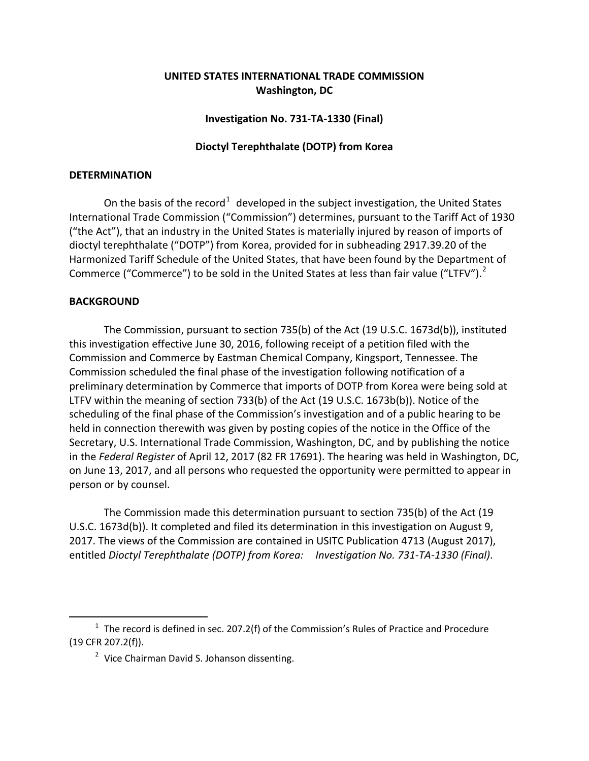# **UNITED STATES INTERNATIONAL TRADE COMMISSION Washington, DC**

## **Investigation No. 731-TA-1330 (Final)**

# **Dioctyl Terephthalate (DOTP) from Korea**

#### **DETERMINATION**

On the basis of the record<sup>[1](#page-0-0)</sup> developed in the subject investigation, the United States International Trade Commission ("Commission") determines, pursuant to the Tariff Act of 1930 ("the Act"), that an industry in the United States is materially injured by reason of imports of dioctyl terephthalate ("DOTP") from Korea, provided for in subheading 2917.39.20 of the Harmonized Tariff Schedule of the United States, that have been found by the Department of Commerce ("Commerce") to be sold in the United States at less than fair value ("LTFV").<sup>[2](#page-0-1)</sup>

## **BACKGROUND**

 $\overline{a}$ 

The Commission, pursuant to section 735(b) of the Act (19 U.S.C. 1673d(b)), instituted this investigation effective June 30, 2016, following receipt of a petition filed with the Commission and Commerce by Eastman Chemical Company, Kingsport, Tennessee. The Commission scheduled the final phase of the investigation following notification of a preliminary determination by Commerce that imports of DOTP from Korea were being sold at LTFV within the meaning of section 733(b) of the Act (19 U.S.C. 1673b(b)). Notice of the scheduling of the final phase of the Commission's investigation and of a public hearing to be held in connection therewith was given by posting copies of the notice in the Office of the Secretary, U.S. International Trade Commission, Washington, DC, and by publishing the notice in the *Federal Register* of April 12, 2017 (82 FR 17691). The hearing was held in Washington, DC, on June 13, 2017, and all persons who requested the opportunity were permitted to appear in person or by counsel.

The Commission made this determination pursuant to section 735(b) of the Act (19 U.S.C. 1673d(b)). It completed and filed its determination in this investigation on August 9, 2017. The views of the Commission are contained in USITC Publication 4713 (August 2017), entitled *Dioctyl Terephthalate (DOTP) from Korea: Investigation No. 731-TA-1330 (Final)*.

<span id="page-0-1"></span><span id="page-0-0"></span> $1$  The record is defined in sec. 207.2(f) of the Commission's Rules of Practice and Procedure (19 CFR 207.2(f)).

<sup>&</sup>lt;sup>2</sup> Vice Chairman David S. Johanson dissenting.